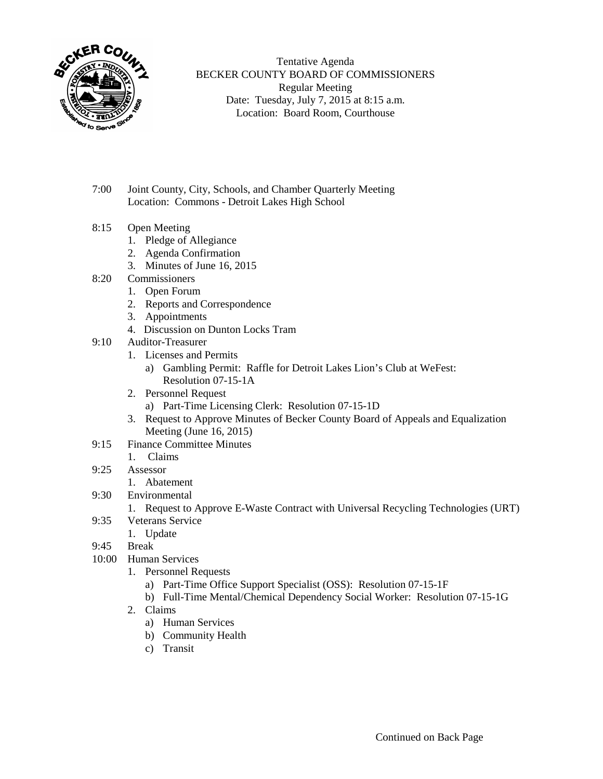

Tentative Agenda BECKER COUNTY BOARD OF COMMISSIONERS Regular Meeting Date: Tuesday, July 7, 2015 at 8:15 a.m. Location: Board Room, Courthouse

- 7:00 Joint County, City, Schools, and Chamber Quarterly Meeting Location: Commons - Detroit Lakes High School
- 8:15 Open Meeting
	- 1. Pledge of Allegiance
	- 2. Agenda Confirmation
	- 3. Minutes of June 16, 2015
- 8:20 Commissioners
	- 1. Open Forum
	- 2. Reports and Correspondence
	- 3. Appointments
	- 4. Discussion on Dunton Locks Tram
- 9:10 Auditor-Treasurer
	- 1. Licenses and Permits
		- a) Gambling Permit: Raffle for Detroit Lakes Lion's Club at WeFest: Resolution 07-15-1A
	- 2. Personnel Request
		- a) Part-Time Licensing Clerk: Resolution 07-15-1D
	- 3. Request to Approve Minutes of Becker County Board of Appeals and Equalization Meeting (June 16, 2015)
- 9:15 Finance Committee Minutes
	- 1. Claims
- 9:25 Assessor
	- 1. Abatement
- 9:30 Environmental
	- 1. Request to Approve E-Waste Contract with Universal Recycling Technologies (URT)
- 9:35 Veterans Service
	- 1. Update
- 9:45 Break
- 10:00 Human Services
	- 1. Personnel Requests
		- a) Part-Time Office Support Specialist (OSS): Resolution 07-15-1F
		- b) Full-Time Mental/Chemical Dependency Social Worker: Resolution 07-15-1G
	- 2. Claims
		- a) Human Services
		- b) Community Health
		- c) Transit